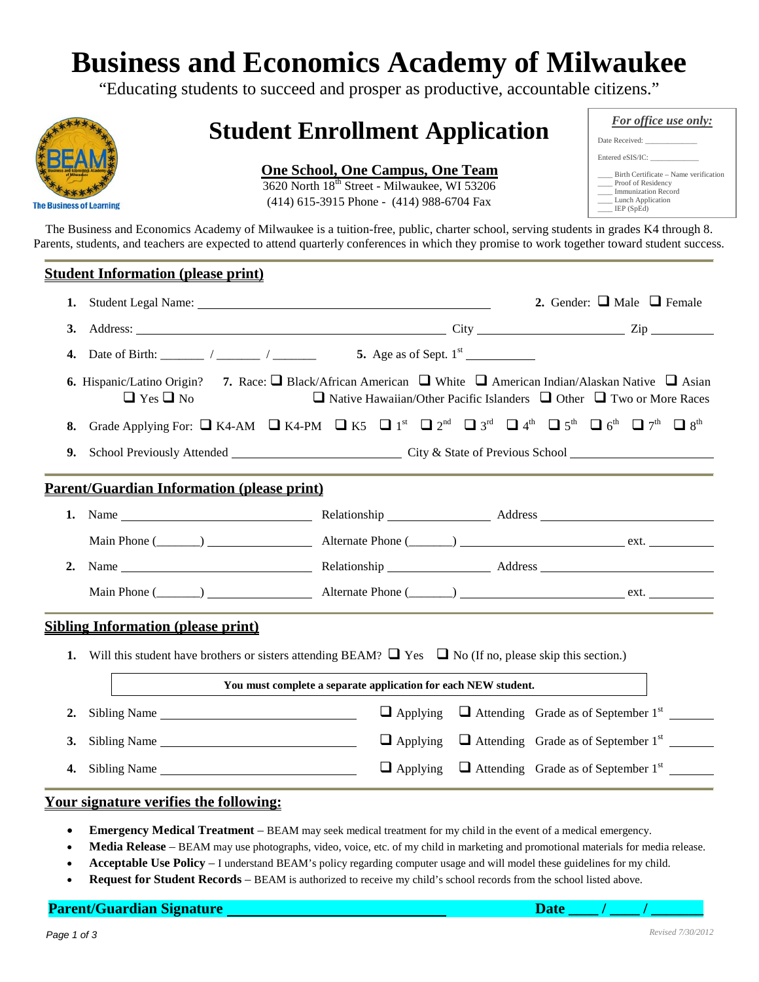# **Business and Economics Academy of Milwaukee**

"Educating students to succeed and prosper as productive, accountable citizens."



# **Student Enrollment Application**

### **One School, One Campus, One Team**

3620 North 18th Street - Milwaukee, WI 53206 (414) 615-3915 Phone - (414) 988-6704 Fax

| <b>For office use only:</b>                                                                                    |
|----------------------------------------------------------------------------------------------------------------|
| Date Received:                                                                                                 |
| Entered eSIS/IC:                                                                                               |
| Birth Certificate – Name verification<br>Proof of Residency<br><b>Immunization Record</b><br>Lunch Application |
| LEP(SpEd)                                                                                                      |

The Business and Economics Academy of Milwaukee is a tuition-free, public, charter school, serving students in grades K4 through 8. Parents, students, and teachers are expected to attend quarterly conferences in which they promise to work together toward student success.

### **Student Information (please print)**

| 1.                                                                                                                                                                                                                                                       |                                                                                                                                                                                                                                                 | 2. Gender: $\Box$ Male $\Box$ Female |  |                                                                  |  |  |  |  |
|----------------------------------------------------------------------------------------------------------------------------------------------------------------------------------------------------------------------------------------------------------|-------------------------------------------------------------------------------------------------------------------------------------------------------------------------------------------------------------------------------------------------|--------------------------------------|--|------------------------------------------------------------------|--|--|--|--|
| 3.                                                                                                                                                                                                                                                       |                                                                                                                                                                                                                                                 |                                      |  |                                                                  |  |  |  |  |
| 4.                                                                                                                                                                                                                                                       | Date of Birth: $\frac{1}{2}$ / $\frac{1}{2}$ / $\frac{1}{2}$                                                                                                                                                                                    |                                      |  |                                                                  |  |  |  |  |
| <b>6.</b> Hispanic/Latino Origin? 7. Race: $\Box$ Black/African American $\Box$ White $\Box$ American Indian/Alaskan Native $\Box$ Asian<br>$\Box$ Yes $\Box$ No<br>$\Box$ Native Hawaiian/Other Pacific Islanders $\Box$ Other $\Box$ Two or More Races |                                                                                                                                                                                                                                                 |                                      |  |                                                                  |  |  |  |  |
| 8.                                                                                                                                                                                                                                                       | Grade Applying For: $\Box$ K4-AM $\Box$ K4-PM $\Box$ K5 $\Box$ 1 <sup>st</sup> $\Box$ 2 <sup>nd</sup> $\Box$ 3 <sup>rd</sup> $\Box$ 4 <sup>th</sup> $\Box$ 5 <sup>th</sup> $\Box$ 6 <sup>th</sup> $\Box$ 7 <sup>th</sup> $\Box$ 8 <sup>th</sup> |                                      |  |                                                                  |  |  |  |  |
| 9.                                                                                                                                                                                                                                                       | School Previously Attended City & State of Previous School City & State of Previous School                                                                                                                                                      |                                      |  |                                                                  |  |  |  |  |
| <u><b>Parent/Guardian Information (please print)</b></u>                                                                                                                                                                                                 |                                                                                                                                                                                                                                                 |                                      |  |                                                                  |  |  |  |  |
|                                                                                                                                                                                                                                                          |                                                                                                                                                                                                                                                 |                                      |  |                                                                  |  |  |  |  |
|                                                                                                                                                                                                                                                          | Main Phone (Channel Alternate Phone (Channel Alternate Phone (Channel Alternate Phone (Channel Alternate Phone Channel Alternate Phone Channel Alternate Phone Channel Alternate Phone Channel Alternate Phone Channel Alterna                  |                                      |  |                                                                  |  |  |  |  |
| 2.                                                                                                                                                                                                                                                       |                                                                                                                                                                                                                                                 |                                      |  |                                                                  |  |  |  |  |
|                                                                                                                                                                                                                                                          | Main Phone (Channel Alternate Phone (Channel Alternate Phone (Channel Alternate Phone (Channel Alternate Phone Channel Alternate Phone Channel Alternate Phone Channel Alternate Phone Channel Alternate Phone Channel Alterna                  |                                      |  |                                                                  |  |  |  |  |
|                                                                                                                                                                                                                                                          | <b>Sibling Information (please print)</b>                                                                                                                                                                                                       |                                      |  |                                                                  |  |  |  |  |
|                                                                                                                                                                                                                                                          | 1. Will this student have brothers or sisters attending BEAM? $\Box$ Yes $\Box$ No (If no, please skip this section.)                                                                                                                           |                                      |  |                                                                  |  |  |  |  |
| You must complete a separate application for each NEW student.                                                                                                                                                                                           |                                                                                                                                                                                                                                                 |                                      |  |                                                                  |  |  |  |  |
| 2.                                                                                                                                                                                                                                                       | Sibling Name                                                                                                                                                                                                                                    | $\Box$ Applying                      |  | $\Box$ Attending Grade as of September 1 <sup>st</sup> _________ |  |  |  |  |
| 3.                                                                                                                                                                                                                                                       | Sibling Name                                                                                                                                                                                                                                    | $\Box$ Applying                      |  | $\Box$ Attending Grade as of September 1 <sup>st</sup> _________ |  |  |  |  |
| 4.                                                                                                                                                                                                                                                       | Sibling Name                                                                                                                                                                                                                                    | $\Box$ Applying                      |  | $\Box$ Attending Grade as of September 1 <sup>st</sup>           |  |  |  |  |
|                                                                                                                                                                                                                                                          | <u>Your signature verifies the following:</u>                                                                                                                                                                                                   |                                      |  |                                                                  |  |  |  |  |

- **Emergency Medical Treatment** BEAM may seek medical treatment for my child in the event of a medical emergency.
- **Media Release** BEAM may use photographs, video, voice, etc. of my child in marketing and promotional materials for media release.
- **Acceptable Use Policy** I understand BEAM's policy regarding computer usage and will model these guidelines for my child.
- **Request for Student Records** BEAM is authorized to receive my child's school records from the school listed above.

**Parent/Guardian Signature Date \_\_\_\_ / \_\_\_\_ / \_\_\_\_\_\_\_**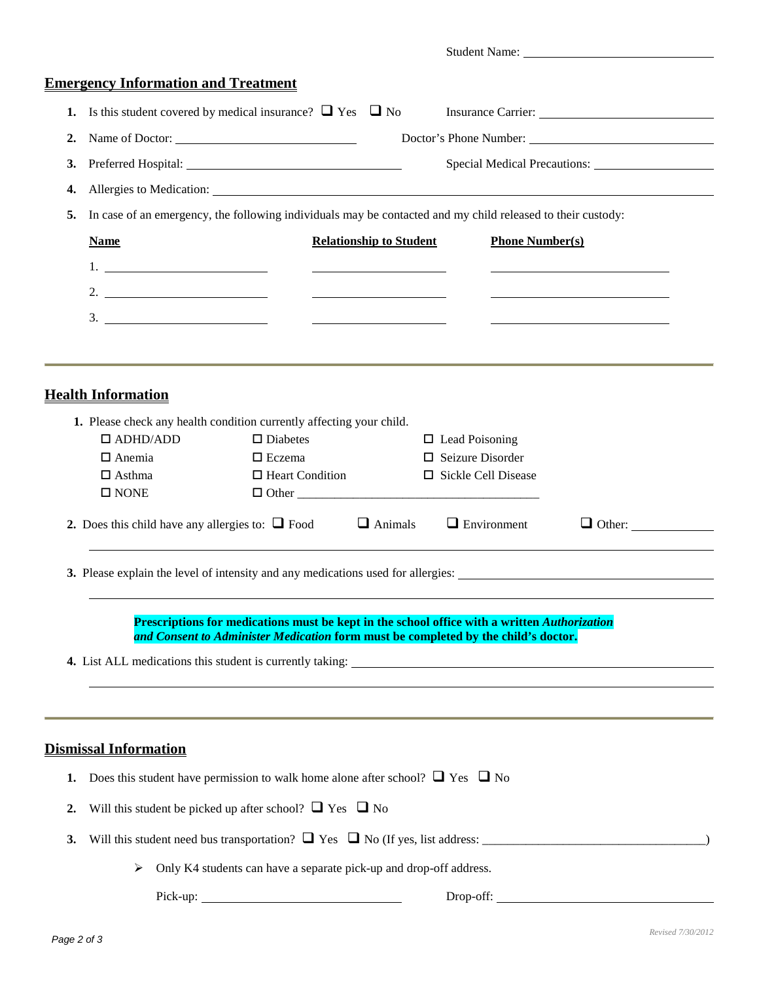|                  |                                                                                                                                                                                                                                |                                                |                         | Student Name:                                       |  |
|------------------|--------------------------------------------------------------------------------------------------------------------------------------------------------------------------------------------------------------------------------|------------------------------------------------|-------------------------|-----------------------------------------------------|--|
|                  | <b>Emergency Information and Treatment</b>                                                                                                                                                                                     |                                                |                         |                                                     |  |
| 1.               | Is this student covered by medical insurance? $\Box$ Yes $\Box$ No                                                                                                                                                             |                                                |                         |                                                     |  |
| 2.               | Name of Doctor:                                                                                                                                                                                                                |                                                |                         |                                                     |  |
| 3.               |                                                                                                                                                                                                                                |                                                |                         | Special Medical Precautions:                        |  |
| 4.               | Allergies to Medication: University of the Contract of the Contract of the Contract of the Contract of the Contract of the Contract of the Contract of the Contract of the Contract of the Contract of the Contract of the Con |                                                |                         |                                                     |  |
| 5.               | In case of an emergency, the following individuals may be contacted and my child released to their custody:                                                                                                                    |                                                |                         |                                                     |  |
|                  | <b>Relationship to Student</b><br><b>Name</b>                                                                                                                                                                                  | <b>Phone Number(s)</b>                         |                         |                                                     |  |
|                  |                                                                                                                                                                                                                                |                                                |                         |                                                     |  |
|                  | 2.                                                                                                                                                                                                                             |                                                |                         |                                                     |  |
|                  |                                                                                                                                                                                                                                | <u> The Communication of the Communication</u> |                         | <u> 1989 - Johann Stoff, amerikansk politiker (</u> |  |
|                  |                                                                                                                                                                                                                                |                                                |                         |                                                     |  |
|                  |                                                                                                                                                                                                                                |                                                |                         |                                                     |  |
|                  | <b>Health Information</b>                                                                                                                                                                                                      |                                                |                         |                                                     |  |
|                  |                                                                                                                                                                                                                                |                                                |                         |                                                     |  |
|                  | 1. Please check any health condition currently affecting your child.<br>$\Box$ ADHD/ADD<br>$\square$ Diabetes                                                                                                                  |                                                | $\Box$ Lead Poisoning   |                                                     |  |
|                  | $\Box$ Anemia<br>$\Box$ Eczema                                                                                                                                                                                                 |                                                | $\Box$ Seizure Disorder |                                                     |  |
|                  | $\Box$ Heart Condition<br>$\Box$ Asthma                                                                                                                                                                                        |                                                | □ Sickle Cell Disease   |                                                     |  |
|                  | $\square$ NONE                                                                                                                                                                                                                 |                                                |                         |                                                     |  |
|                  | 2. Does this child have any allergies to: $\Box$ Food $\Box$ Animals                                                                                                                                                           |                                                | $\Box$ Environment      | $\Box$ Other:                                       |  |
|                  |                                                                                                                                                                                                                                |                                                |                         |                                                     |  |
|                  | 3. Please explain the level of intensity and any medications used for allergies:                                                                                                                                               |                                                |                         |                                                     |  |
|                  |                                                                                                                                                                                                                                |                                                |                         |                                                     |  |
|                  | Prescriptions for medications must be kept in the school office with a written Authorization                                                                                                                                   |                                                |                         |                                                     |  |
|                  | and Consent to Administer Medication form must be completed by the child's doctor.                                                                                                                                             |                                                |                         |                                                     |  |
|                  |                                                                                                                                                                                                                                |                                                |                         |                                                     |  |
|                  |                                                                                                                                                                                                                                |                                                |                         |                                                     |  |
|                  |                                                                                                                                                                                                                                |                                                |                         |                                                     |  |
|                  |                                                                                                                                                                                                                                |                                                |                         |                                                     |  |
|                  | <b>Dismissal Information</b>                                                                                                                                                                                                   |                                                |                         |                                                     |  |
| 1.               | Does this student have permission to walk home alone after school? $\Box$ Yes $\Box$ No                                                                                                                                        |                                                |                         |                                                     |  |
| $\overline{2}$ . | Will this student be picked up after school? $\Box$ Yes $\Box$ No                                                                                                                                                              |                                                |                         |                                                     |  |
| 3.               |                                                                                                                                                                                                                                |                                                |                         |                                                     |  |
|                  | Only K4 students can have a separate pick-up and drop-off address.<br>➤                                                                                                                                                        |                                                |                         |                                                     |  |
|                  |                                                                                                                                                                                                                                |                                                |                         | Drop-off:                                           |  |
|                  |                                                                                                                                                                                                                                |                                                |                         |                                                     |  |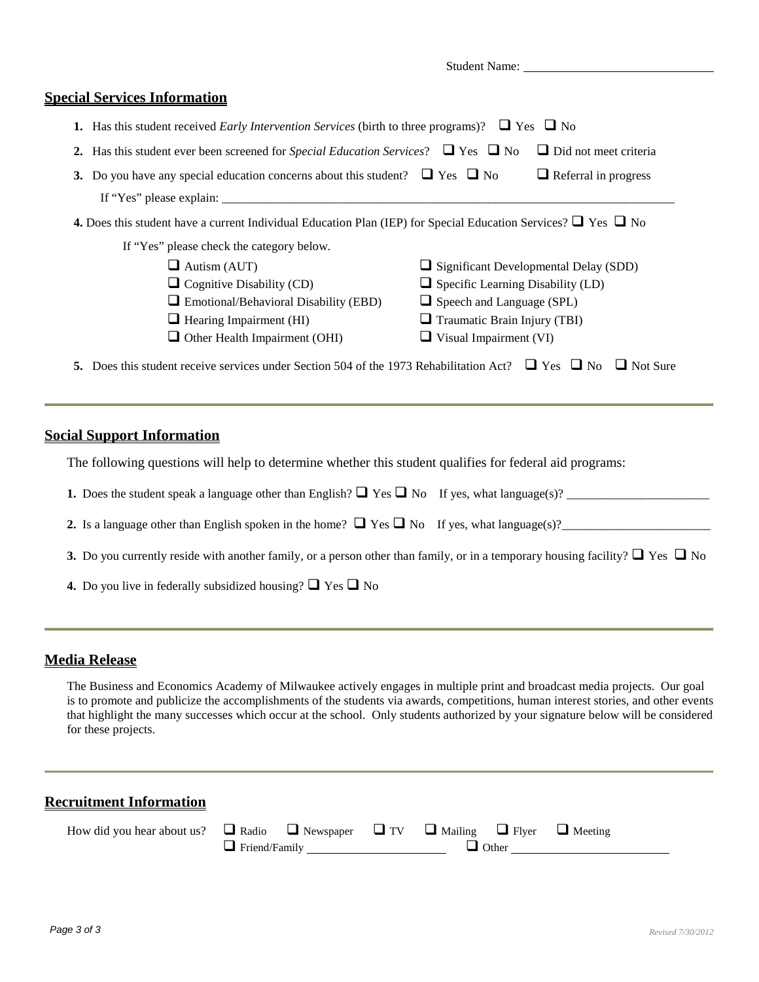Student Name:

#### **Special Services Information**

- **1.** Has this student received *Early Intervention Services* (birth to three programs)?  $\Box$  Yes  $\Box$  No
- **2.** Has this student ever been screened for *Special Education Services*?  $\Box$  Yes  $\Box$  No  $\Box$  Did not meet criteria
- **3.** Do you have any special education concerns about this student?  $\Box$  Yes  $\Box$  No  $\Box$  Referral in progress If "Yes" please explain:
- **4.** Does this student have a current Individual Education Plan (IEP) for Special Education Services?  $\Box$  Yes  $\Box$  No
	- If "Yes" please check the category below.
		- $\Box$  Autism (AUT)  $\Box$  Significant Developmental Delay (SDD)
		- $\Box$  Cognitive Disability (CD)  $\Box$  Specific Learning Disability (LD)
		-
		-
		- $\Box$  Other Health Impairment (OHI)  $\Box$  Visual Impairment (VI)
		- $\Box$  Emotional/Behavioral Disability (EBD)  $\Box$  Speech and Language (SPL)  $\Box$  Hearing Impairment (HI)  $\Box$  Traumatic Brain Injury (TBI)
			-

**5.** Does this student receive services under Section 504 of the 1973 Rehabilitation Act?  $\Box$  Yes  $\Box$  No  $\Box$  Not Sure

#### **Social Support Information**

The following questions will help to determine whether this student qualifies for federal aid programs:

| <b>1.</b> Does the student speak a language other than English? $\Box$ Yes $\Box$ No If yes, what language(s)? |  |
|----------------------------------------------------------------------------------------------------------------|--|
|----------------------------------------------------------------------------------------------------------------|--|

**2.** Is a language other than English spoken in the home?  $\Box$  Yes  $\Box$  No If yes, what language(s)?

- **3.** Do you currently reside with another family, or a person other than family, or in a temporary housing facility?  $\Box$  Yes  $\Box$  No
- **4.** Do you live in federally subsidized housing?  $\Box$  Yes  $\Box$  No

#### **Media Release**

The Business and Economics Academy of Milwaukee actively engages in multiple print and broadcast media projects. Our goal is to promote and publicize the accomplishments of the students via awards, competitions, human interest stories, and other events that highlight the many successes which occur at the school. Only students authorized by your signature below will be considered for these projects.

#### **Recruitment Information**

| How did you hear about us? $\Box$ Radio $\Box$ Newspaper $\Box$ TV $\Box$ Mailing $\Box$ Flyer $\Box$ Meeting |                      |              |  |  |  |
|---------------------------------------------------------------------------------------------------------------|----------------------|--------------|--|--|--|
|                                                                                                               | $\Box$ Friend/Family | $\Box$ Other |  |  |  |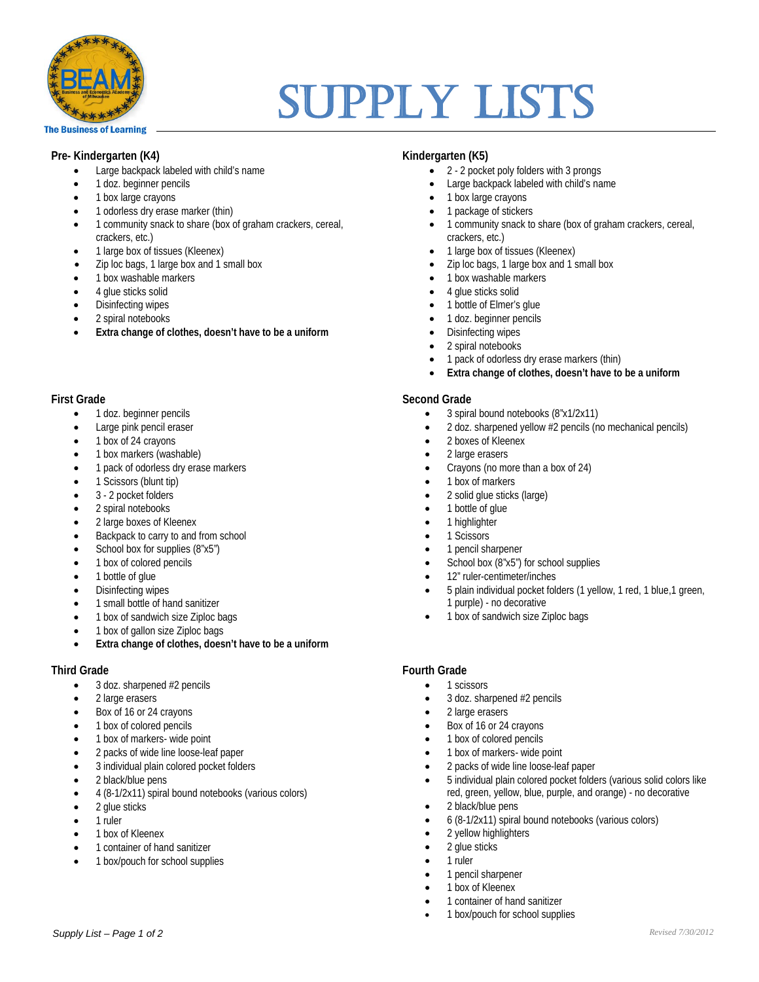

# Supply Lists

#### **Pre- Kindergarten (K4)**

- Large backpack labeled with child's name
- 1 doz. beginner pencils
- 1 box large crayons
- 1 odorless dry erase marker (thin)
- 1 community snack to share (box of graham crackers, cereal, crackers, etc.)
- 1 large box of tissues (Kleenex)
- Zip loc bags, 1 large box and 1 small box
- 1 box washable markers
- 4 glue sticks solid
- Disinfecting wipes
- 2 spiral notebooks
- **Extra change of clothes, doesn't have to be a uniform**

#### **First Grade**

- 1 doz. beginner pencils
- Large pink pencil eraser
- 1 box of 24 crayons
- 1 box markers (washable)
- 1 pack of odorless dry erase markers
- 1 Scissors (blunt tip)
- 3 2 pocket folders
- 2 spiral notebooks
- 2 large boxes of Kleenex
- Backpack to carry to and from school
- School box for supplies (8"x5")
- 1 box of colored pencils
- 1 bottle of glue
- Disinfecting wipes
- 1 small bottle of hand sanitizer
- 1 box of sandwich size Ziploc bags
- 1 box of gallon size Ziploc bags
- **Extra change of clothes, doesn't have to be a uniform**

#### **Third Grade**

- 3 doz. sharpened #2 pencils
- 2 large erasers
- Box of 16 or 24 crayons
- 1 box of colored pencils
- 1 box of markers- wide point
- 2 packs of wide line loose-leaf paper
- 3 individual plain colored pocket folders
- 2 black/blue pens
- 4 (8-1/2x11) spiral bound notebooks (various colors)
- 2 glue sticks
- 1 ruler
- 1 box of Kleenex
- 1 container of hand sanitizer
- 1 box/pouch for school supplies

#### **Kindergarten (K5)**

- 2 2 pocket poly folders with 3 prongs
- Large backpack labeled with child's name
- 1 box large crayons
- 1 package of stickers
- 1 community snack to share (box of graham crackers, cereal, crackers, etc.)
- 1 large box of tissues (Kleenex)
- Zip loc bags, 1 large box and 1 small box
- 1 box washable markers
- 4 glue sticks solid
- 1 bottle of Elmer's glue
- 1 doz. beginner pencils
- Disinfecting wipes
- 2 spiral notebooks
- 1 pack of odorless dry erase markers (thin)
- **Extra change of clothes, doesn't have to be a uniform**

#### **Second Grade**

- 3 spiral bound notebooks (8"x1/2x11)
- 2 doz. sharpened yellow #2 pencils (no mechanical pencils)
- 2 boxes of Kleenex
- 2 large erasers
- Crayons (no more than a box of 24)
- 1 box of markers
- 2 solid glue sticks (large)
- 1 bottle of glue
- 1 highlighter
- 1 Scissors
- 1 pencil sharpener
- School box (8"x5") for school supplies
- 12" ruler-centimeter/inches
- 5 plain individual pocket folders (1 yellow, 1 red, 1 blue,1 green, 1 purple) - no decorative
- 1 box of sandwich size Ziploc bags

#### **Fourth Grade**

- 1 scissors
- 3 doz. sharpened #2 pencils
- 2 large erasers
- Box of 16 or 24 crayons
- 1 box of colored pencils
- 1 box of markers- wide point
- 2 packs of wide line loose-leaf paper
- 5 individual plain colored pocket folders (various solid colors like red, green, yellow, blue, purple, and orange) - no decorative

*Revised 7/30/2012*

- 2 black/blue pens
- 6 (8-1/2x11) spiral bound notebooks (various colors)
- 2 yellow highlighters
- 2 glue sticks
- 1 ruler
- 1 pencil sharpener
- 1 box of Kleenex
- 1 container of hand sanitizer
- 1 box/pouch for school supplies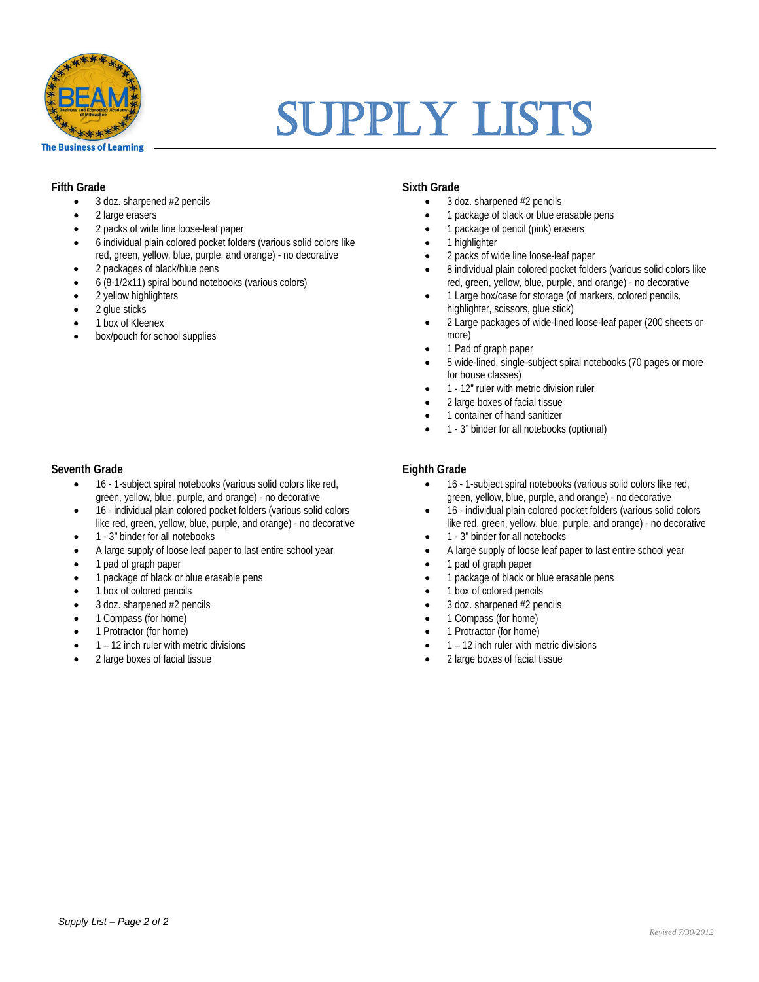

# **SUPPLY LISTS**

#### **Fifth Grade**

- 3 doz. sharpened #2 pencils
- 2 large erasers
- 2 packs of wide line loose-leaf paper
- 6 individual plain colored pocket folders (various solid colors like red, green, yellow, blue, purple, and orange) - no decorative
- 2 packages of black/blue pens
- 6 (8-1/2x11) spiral bound notebooks (various colors)
- 2 vellow highlighters
- 2 glue sticks
- 1 box of Kleenex
- box/pouch for school supplies

#### **Seventh Grade**

- 16 1-subject spiral notebooks (various solid colors like red, green, yellow, blue, purple, and orange) - no decorative
- 16 individual plain colored pocket folders (various solid colors like red, green, yellow, blue, purple, and orange) - no decorative
- 1 3" binder for all notebooks
- A large supply of loose leaf paper to last entire school year
- 1 pad of graph paper
- 1 package of black or blue erasable pens
- 1 box of colored pencils
- 3 doz. sharpened #2 pencils
- 1 Compass (for home)
- 1 Protractor (for home)
- 1 12 inch ruler with metric divisions
- 2 large boxes of facial tissue

#### **Sixth Grade**

- 3 doz. sharpened #2 pencils
- 1 package of black or blue erasable pens
- 1 package of pencil (pink) erasers
- 1 highlighter
- 2 packs of wide line loose-leaf paper
- 8 individual plain colored pocket folders (various solid colors like red, green, yellow, blue, purple, and orange) - no decorative
- 1 Large box/case for storage (of markers, colored pencils, highlighter, scissors, glue stick)
- 2 Large packages of wide-lined loose-leaf paper (200 sheets or more)
- 1 Pad of graph paper
- 5 wide-lined, single-subject spiral notebooks (70 pages or more for house classes)
- 1 12" ruler with metric division ruler
- 2 large boxes of facial tissue
- 1 container of hand sanitizer
- 1 3" binder for all notebooks (optional)

#### **Eighth Grade**

- 16 1-subject spiral notebooks (various solid colors like red, green, yellow, blue, purple, and orange) - no decorative
- 16 individual plain colored pocket folders (various solid colors like red, green, yellow, blue, purple, and orange) - no decorative
- 1 3" binder for all notebooks
- A large supply of loose leaf paper to last entire school year
- 1 pad of graph paper
- 1 package of black or blue erasable pens
- 1 box of colored pencils
- 3 doz. sharpened #2 pencils
- 1 Compass (for home)
- 1 Protractor (for home)
- 1 12 inch ruler with metric divisions
- 2 large boxes of facial tissue